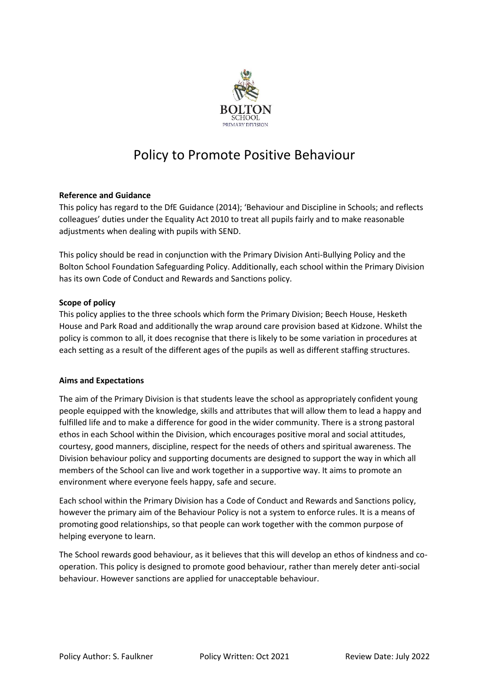

# Policy to Promote Positive Behaviour

# **Reference and Guidance**

This policy has regard to the DfE Guidance (2014); 'Behaviour and Discipline in Schools; and reflects colleagues' duties under the Equality Act 2010 to treat all pupils fairly and to make reasonable adjustments when dealing with pupils with SEND.

This policy should be read in conjunction with the Primary Division Anti-Bullying Policy and the Bolton School Foundation Safeguarding Policy. Additionally, each school within the Primary Division has its own Code of Conduct and Rewards and Sanctions policy.

# **Scope of policy**

This policy applies to the three schools which form the Primary Division; Beech House, Hesketh House and Park Road and additionally the wrap around care provision based at Kidzone. Whilst the policy is common to all, it does recognise that there is likely to be some variation in procedures at each setting as a result of the different ages of the pupils as well as different staffing structures.

## **Aims and Expectations**

The aim of the Primary Division is that students leave the school as appropriately confident young people equipped with the knowledge, skills and attributes that will allow them to lead a happy and fulfilled life and to make a difference for good in the wider community. There is a strong pastoral ethos in each School within the Division, which encourages positive moral and social attitudes, courtesy, good manners, discipline, respect for the needs of others and spiritual awareness. The Division behaviour policy and supporting documents are designed to support the way in which all members of the School can live and work together in a supportive way. It aims to promote an environment where everyone feels happy, safe and secure.

Each school within the Primary Division has a Code of Conduct and Rewards and Sanctions policy, however the primary aim of the Behaviour Policy is not a system to enforce rules. It is a means of promoting good relationships, so that people can work together with the common purpose of helping everyone to learn.

The School rewards good behaviour, as it believes that this will develop an ethos of kindness and cooperation. This policy is designed to promote good behaviour, rather than merely deter anti-social behaviour. However sanctions are applied for unacceptable behaviour.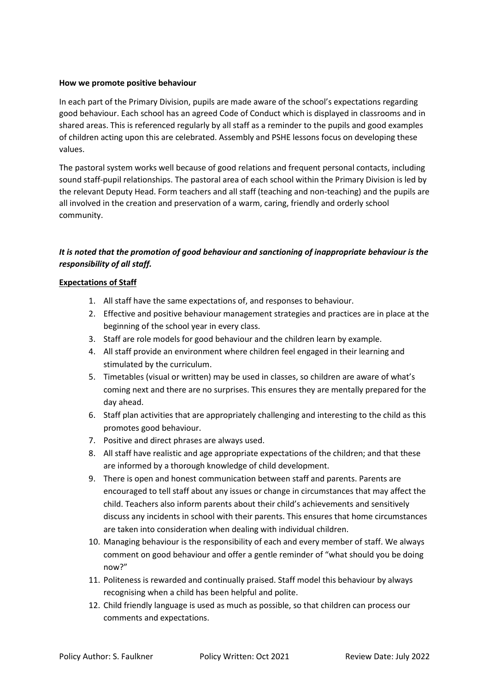## **How we promote positive behaviour**

In each part of the Primary Division, pupils are made aware of the school's expectations regarding good behaviour. Each school has an agreed Code of Conduct which is displayed in classrooms and in shared areas. This is referenced regularly by all staff as a reminder to the pupils and good examples of children acting upon this are celebrated. Assembly and PSHE lessons focus on developing these values.

The pastoral system works well because of good relations and frequent personal contacts, including sound staff-pupil relationships. The pastoral area of each school within the Primary Division is led by the relevant Deputy Head. Form teachers and all staff (teaching and non-teaching) and the pupils are all involved in the creation and preservation of a warm, caring, friendly and orderly school community.

# *It is noted that the promotion of good behaviour and sanctioning of inappropriate behaviour is the responsibility of all staff.*

## **Expectations of Staff**

- 1. All staff have the same expectations of, and responses to behaviour.
- 2. Effective and positive behaviour management strategies and practices are in place at the beginning of the school year in every class.
- 3. Staff are role models for good behaviour and the children learn by example.
- 4. All staff provide an environment where children feel engaged in their learning and stimulated by the curriculum.
- 5. Timetables (visual or written) may be used in classes, so children are aware of what's coming next and there are no surprises. This ensures they are mentally prepared for the day ahead.
- 6. Staff plan activities that are appropriately challenging and interesting to the child as this promotes good behaviour.
- 7. Positive and direct phrases are always used.
- 8. All staff have realistic and age appropriate expectations of the children; and that these are informed by a thorough knowledge of child development.
- 9. There is open and honest communication between staff and parents. Parents are encouraged to tell staff about any issues or change in circumstances that may affect the child. Teachers also inform parents about their child's achievements and sensitively discuss any incidents in school with their parents. This ensures that home circumstances are taken into consideration when dealing with individual children.
- 10. Managing behaviour is the responsibility of each and every member of staff. We always comment on good behaviour and offer a gentle reminder of "what should you be doing now?"
- 11. Politeness is rewarded and continually praised. Staff model this behaviour by always recognising when a child has been helpful and polite.
- 12. Child friendly language is used as much as possible, so that children can process our comments and expectations.